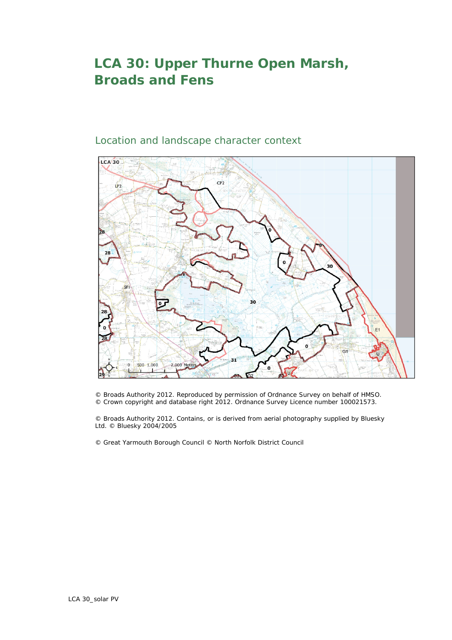## **LCA 30: Upper Thurne Open Marsh, Broads and Fens**



## Location and landscape character context

© Broads Authority 2012. Reproduced by permission of Ordnance Survey on behalf of HMSO. © Crown copyright and database right 2012. Ordnance Survey Licence number 100021573.

© Broads Authority 2012. Contains, or is derived from aerial photography supplied by Bluesky Ltd. © Bluesky 2004/2005

© Great Yarmouth Borough Council © North Norfolk District Council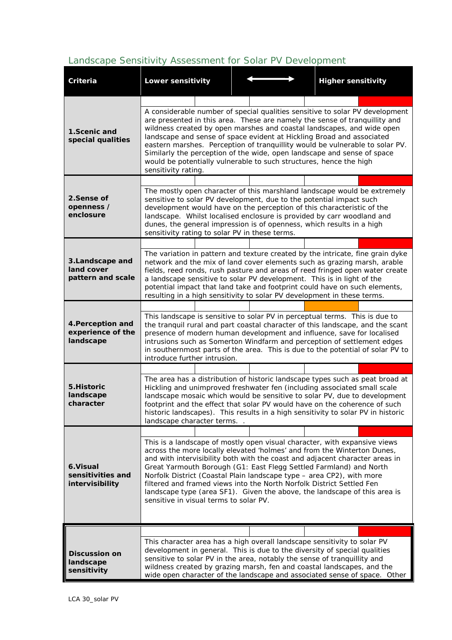## *Landscape Sensitivity Assessment for Solar PV Development*

| Criteria                                            | <b>Lower sensitivity</b>                                                                                                                                                                                                                                                                                                                                                                                                                                                                                                                                                            |  | <b>Higher sensitivity</b>                                                                                                                                                                                                                                                                                                |  |  |  |  |
|-----------------------------------------------------|-------------------------------------------------------------------------------------------------------------------------------------------------------------------------------------------------------------------------------------------------------------------------------------------------------------------------------------------------------------------------------------------------------------------------------------------------------------------------------------------------------------------------------------------------------------------------------------|--|--------------------------------------------------------------------------------------------------------------------------------------------------------------------------------------------------------------------------------------------------------------------------------------------------------------------------|--|--|--|--|
|                                                     |                                                                                                                                                                                                                                                                                                                                                                                                                                                                                                                                                                                     |  |                                                                                                                                                                                                                                                                                                                          |  |  |  |  |
| 1.Scenic and<br>special qualities                   | A considerable number of special qualities sensitive to solar PV development<br>are presented in this area. These are namely the sense of tranquillity and<br>wildness created by open marshes and coastal landscapes, and wide open<br>landscape and sense of space evident at Hickling Broad and associated<br>eastern marshes. Perception of tranquillity would be vulnerable to solar PV.<br>Similarly the perception of the wide, open landscape and sense of space<br>would be potentially vulnerable to such structures, hence the high<br>sensitivity rating.               |  |                                                                                                                                                                                                                                                                                                                          |  |  |  |  |
|                                                     |                                                                                                                                                                                                                                                                                                                                                                                                                                                                                                                                                                                     |  |                                                                                                                                                                                                                                                                                                                          |  |  |  |  |
| 2.Sense of<br>openness /<br>enclosure               | The mostly open character of this marshland landscape would be extremely<br>sensitive to solar PV development, due to the potential impact such<br>development would have on the perception of this characteristic of the<br>landscape. Whilst localised enclosure is provided by carr woodland and<br>dunes, the general impression is of openness, which results in a high<br>sensitivity rating to solar PV in these terms.                                                                                                                                                      |  |                                                                                                                                                                                                                                                                                                                          |  |  |  |  |
|                                                     |                                                                                                                                                                                                                                                                                                                                                                                                                                                                                                                                                                                     |  |                                                                                                                                                                                                                                                                                                                          |  |  |  |  |
| 3.Landscape and<br>land cover<br>pattern and scale  | a landscape sensitive to solar PV development. This is in light of the<br>resulting in a high sensitivity to solar PV development in these terms.                                                                                                                                                                                                                                                                                                                                                                                                                                   |  | The variation in pattern and texture created by the intricate, fine grain dyke<br>network and the mix of land cover elements such as grazing marsh, arable<br>fields, reed ronds, rush pasture and areas of reed fringed open water create<br>potential impact that land take and footprint could have on such elements, |  |  |  |  |
|                                                     |                                                                                                                                                                                                                                                                                                                                                                                                                                                                                                                                                                                     |  |                                                                                                                                                                                                                                                                                                                          |  |  |  |  |
| 4. Perception and<br>experience of the<br>landscape | This landscape is sensitive to solar PV in perceptual terms. This is due to<br>the tranquil rural and part coastal character of this landscape, and the scant<br>presence of modern human development and influence, save for localised<br>intrusions such as Somerton Windfarm and perception of settlement edges<br>in southernmost parts of the area. This is due to the potential of solar PV to<br>introduce further intrusion.                                                                                                                                                |  |                                                                                                                                                                                                                                                                                                                          |  |  |  |  |
|                                                     |                                                                                                                                                                                                                                                                                                                                                                                                                                                                                                                                                                                     |  |                                                                                                                                                                                                                                                                                                                          |  |  |  |  |
| 5.Historic<br>landscape<br>character                | The area has a distribution of historic landscape types such as peat broad at<br>Hickling and unimproved freshwater fen (including associated small scale<br>landscape mosaic which would be sensitive to solar PV, due to development<br>footprint and the effect that solar PV would have on the coherence of such<br>historic landscapes). This results in a high sensitivity to solar PV in historic<br>landscape character terms                                                                                                                                               |  |                                                                                                                                                                                                                                                                                                                          |  |  |  |  |
|                                                     |                                                                                                                                                                                                                                                                                                                                                                                                                                                                                                                                                                                     |  |                                                                                                                                                                                                                                                                                                                          |  |  |  |  |
| 6.Visual<br>sensitivities and<br>intervisibility    | This is a landscape of mostly open visual character, with expansive views<br>across the more locally elevated 'holmes' and from the Winterton Dunes,<br>and with intervisibility both with the coast and adjacent character areas in<br>Great Yarmouth Borough (G1: East Flegg Settled Farmland) and North<br>Norfolk District (Coastal Plain landscape type - area CP2), with more<br>filtered and framed views into the North Norfolk District Settled Fen<br>landscape type (area SF1). Given the above, the landscape of this area is<br>sensitive in visual terms to solar PV. |  |                                                                                                                                                                                                                                                                                                                          |  |  |  |  |
|                                                     |                                                                                                                                                                                                                                                                                                                                                                                                                                                                                                                                                                                     |  |                                                                                                                                                                                                                                                                                                                          |  |  |  |  |
| <b>Discussion on</b><br>landscape<br>sensitivity    | This character area has a high overall landscape sensitivity to solar PV<br>development in general. This is due to the diversity of special qualities<br>sensitive to solar PV in the area, notably the sense of tranquillity and<br>wildness created by grazing marsh, fen and coastal landscapes, and the                                                                                                                                                                                                                                                                         |  | wide open character of the landscape and associated sense of space. Other                                                                                                                                                                                                                                                |  |  |  |  |